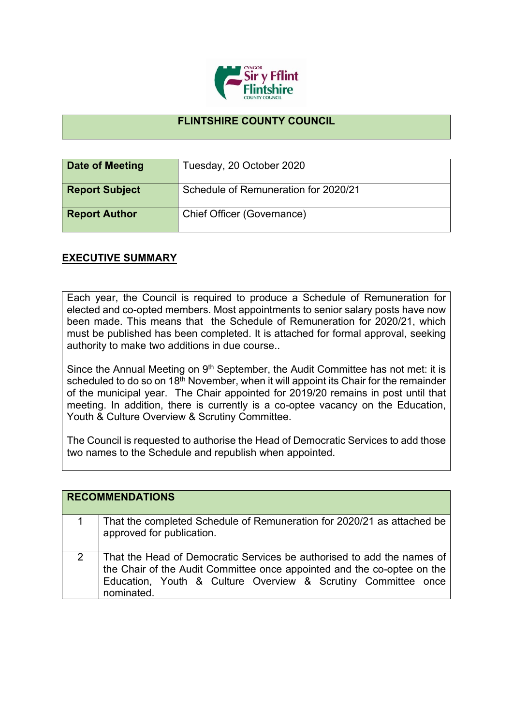

## **FLINTSHIRE COUNTY COUNCIL**

| Date of Meeting       | Tuesday, 20 October 2020             |
|-----------------------|--------------------------------------|
| <b>Report Subject</b> | Schedule of Remuneration for 2020/21 |
| <b>Report Author</b>  | Chief Officer (Governance)           |

## **EXECUTIVE SUMMARY**

Each year, the Council is required to produce a Schedule of Remuneration for elected and co-opted members. Most appointments to senior salary posts have now been made. This means that the Schedule of Remuneration for 2020/21, which must be published has been completed. It is attached for formal approval, seeking authority to make two additions in due course..

Since the Annual Meeting on 9<sup>th</sup> September, the Audit Committee has not met: it is scheduled to do so on 18<sup>th</sup> November, when it will appoint its Chair for the remainder of the municipal year. The Chair appointed for 2019/20 remains in post until that meeting. In addition, there is currently is a co-optee vacancy on the Education, Youth & Culture Overview & Scrutiny Committee.

The Council is requested to authorise the Head of Democratic Services to add those two names to the Schedule and republish when appointed.

|   | <b>RECOMMENDATIONS</b>                                                                                                                                                                                                           |
|---|----------------------------------------------------------------------------------------------------------------------------------------------------------------------------------------------------------------------------------|
|   | That the completed Schedule of Remuneration for 2020/21 as attached be<br>approved for publication.                                                                                                                              |
| 2 | That the Head of Democratic Services be authorised to add the names of<br>the Chair of the Audit Committee once appointed and the co-optee on the<br>Education, Youth & Culture Overview & Scrutiny Committee once<br>nominated. |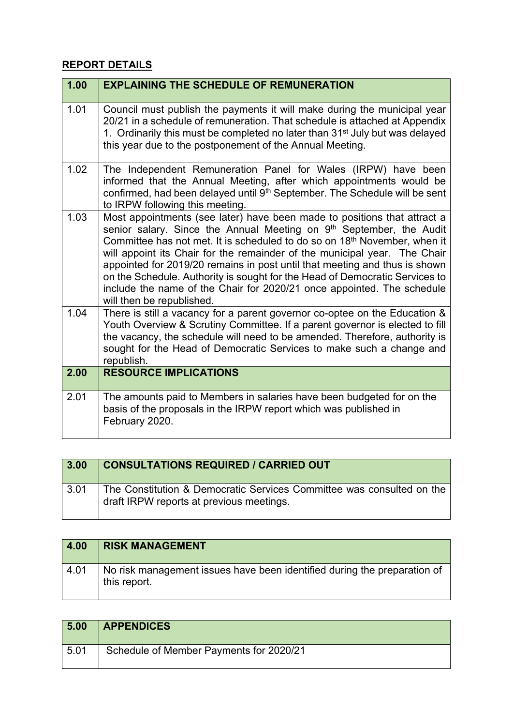## **REPORT DETAILS**

| 1.00 | <b>EXPLAINING THE SCHEDULE OF REMUNERATION</b>                                                                                                                                                                                                                                                                                                                                                                                                                                                                                                                                            |
|------|-------------------------------------------------------------------------------------------------------------------------------------------------------------------------------------------------------------------------------------------------------------------------------------------------------------------------------------------------------------------------------------------------------------------------------------------------------------------------------------------------------------------------------------------------------------------------------------------|
| 1.01 | Council must publish the payments it will make during the municipal year<br>20/21 in a schedule of remuneration. That schedule is attached at Appendix<br>1. Ordinarily this must be completed no later than 31 <sup>st</sup> July but was delayed<br>this year due to the postponement of the Annual Meeting.                                                                                                                                                                                                                                                                            |
| 1.02 | The Independent Remuneration Panel for Wales (IRPW) have been<br>informed that the Annual Meeting, after which appointments would be<br>confirmed, had been delayed until 9th September. The Schedule will be sent<br>to IRPW following this meeting.                                                                                                                                                                                                                                                                                                                                     |
| 1.03 | Most appointments (see later) have been made to positions that attract a<br>senior salary. Since the Annual Meeting on 9th September, the Audit<br>Committee has not met. It is scheduled to do so on 18 <sup>th</sup> November, when it<br>will appoint its Chair for the remainder of the municipal year. The Chair<br>appointed for 2019/20 remains in post until that meeting and thus is shown<br>on the Schedule. Authority is sought for the Head of Democratic Services to<br>include the name of the Chair for 2020/21 once appointed. The schedule<br>will then be republished. |
| 1.04 | There is still a vacancy for a parent governor co-optee on the Education &<br>Youth Overview & Scrutiny Committee. If a parent governor is elected to fill<br>the vacancy, the schedule will need to be amended. Therefore, authority is<br>sought for the Head of Democratic Services to make such a change and<br>republish.                                                                                                                                                                                                                                                            |
| 2.00 | <b>RESOURCE IMPLICATIONS</b>                                                                                                                                                                                                                                                                                                                                                                                                                                                                                                                                                              |
| 2.01 | The amounts paid to Members in salaries have been budgeted for on the<br>basis of the proposals in the IRPW report which was published in<br>February 2020.                                                                                                                                                                                                                                                                                                                                                                                                                               |

| 3.00               | <b>CONSULTATIONS REQUIRED / CARRIED OUT</b>                                                                       |
|--------------------|-------------------------------------------------------------------------------------------------------------------|
| $\vert 3.01 \vert$ | The Constitution & Democratic Services Committee was consulted on the<br>draft IRPW reports at previous meetings. |

| 4.00 | <b>RISK MANAGEMENT</b>                                                                   |
|------|------------------------------------------------------------------------------------------|
| 4.01 | No risk management issues have been identified during the preparation of<br>this report. |

| 5.00 | <b>APPENDICES</b>                       |
|------|-----------------------------------------|
| 5.01 | Schedule of Member Payments for 2020/21 |